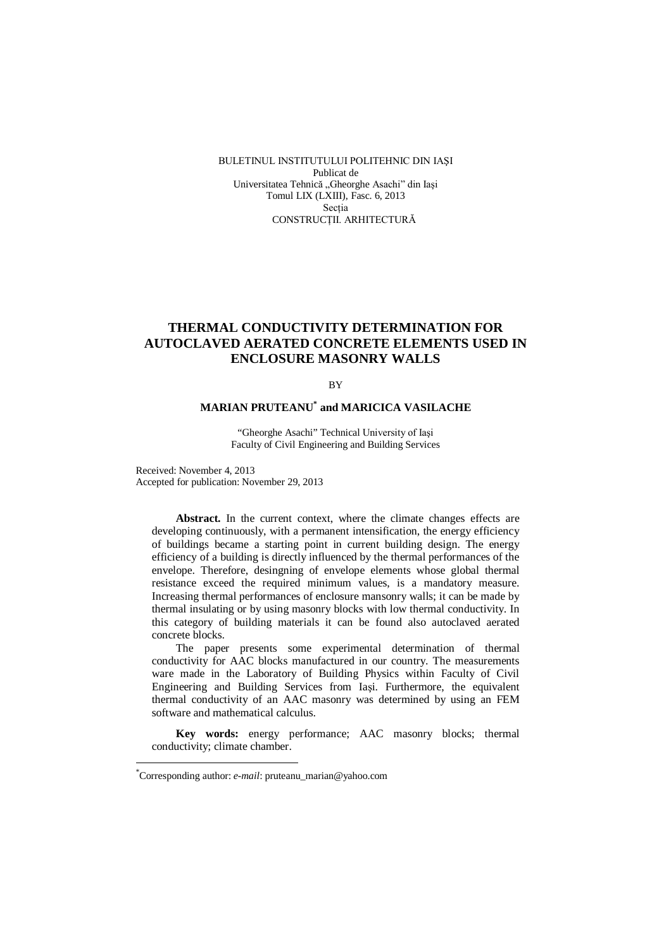BULETINUL INSTITUTULUI POLITEHNIC DIN IAŞI Publicat de Universitatea Tehnică "Gheorghe Asachi" din Iasi Tomul LIX (LXIII), Fasc. 6, 2013 Sectia CONSTRUCŢII. ARHITECTURĂ

# **THERMAL CONDUCTIVITY DETERMINATION FOR AUTOCLAVED AERATED CONCRETE ELEMENTS USED IN ENCLOSURE MASONRY WALLS**

**RV** 

## **MARIAN PRUTEANU\* and MARICICA VASILACHE**

"Gheorghe Asachi" Technical University of Iaşi Faculty of Civil Engineering and Building Services

Received: November 4, 2013 Accepted for publication: November 29, 2013

**Abstract.** In the current context, where the climate changes effects are developing continuously, with a permanent intensification, the energy efficiency of buildings became a starting point in current building design. The energy efficiency of a building is directly influenced by the thermal performances of the envelope. Therefore, desingning of envelope elements whose global thermal resistance exceed the required minimum values, is a mandatory measure. Increasing thermal performances of enclosure mansonry walls; it can be made by thermal insulating or by using masonry blocks with low thermal conductivity. In this category of building materials it can be found also autoclaved aerated concrete blocks.

The paper presents some experimental determination of thermal conductivity for AAC blocks manufactured in our country. The measurements ware made in the Laboratory of Building Physics within Faculty of Civil Engineering and Building Services from Iaşi. Furthermore, the equivalent thermal conductivity of an AAC masonry was determined by using an FEM software and mathematical calculus.

**Key words:** energy performance; AAC masonry blocks; thermal conductivity; climate chamber.

 $\overline{a}$ 

<sup>\*</sup>Corresponding author: *e-mail*: pruteanu\_marian@yahoo.com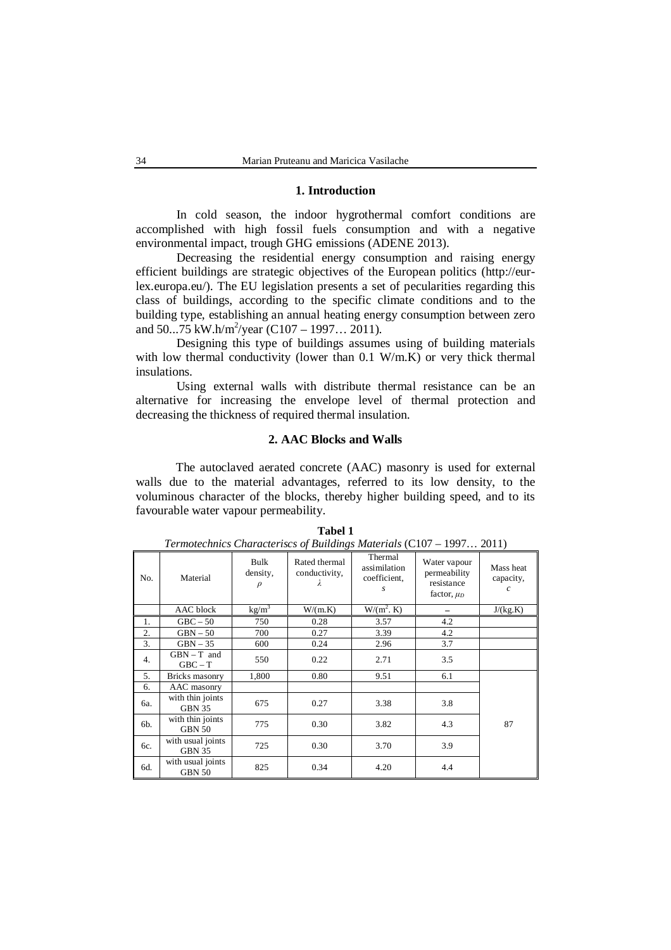## **1. Introduction**

In cold season, the indoor hygrothermal comfort conditions are accomplished with high fossil fuels consumption and with a negative environmental impact, trough GHG emissions (ADENE 2013).

Decreasing the residential energy consumption and raising energy efficient buildings are strategic objectives of the European politics (http://eurlex.europa.eu/). The EU legislation presents a set of pecularities regarding this class of buildings, according to the specific climate conditions and to the building type, establishing an annual heating energy consumption between zero and 50...75 kW.h/m<sup>2</sup>/year (C107 – 1997... 2011).

Designing this type of buildings assumes using of building materials with low thermal conductivity (lower than 0.1 W/m.K) or very thick thermal insulations.

Using external walls with distribute thermal resistance can be an alternative for increasing the envelope level of thermal protection and decreasing the thickness of required thermal insulation.

## **2. AAC Blocks and Walls**

The autoclaved aerated concrete (AAC) masonry is used for external walls due to the material advantages, referred to its low density, to the voluminous character of the blocks, thereby higher building speed, and to its favourable water vapour permeability.

|     |                                    | Bulk               | Rated thermal      | refindred material of the material materials (Cro)<br>Thermal | Water vapour                                  | 1771 2011                                   |
|-----|------------------------------------|--------------------|--------------------|---------------------------------------------------------------|-----------------------------------------------|---------------------------------------------|
| No. | Material                           | density,<br>$\rho$ | conductivity,<br>λ | assimilation<br>coefficient,<br>s                             | permeability<br>resistance<br>factor, $\mu_D$ | Mass heat<br>capacity,<br>$\mathcal{C}_{0}$ |
|     | AAC block                          | $\text{kg/m}^3$    | W/(m.K)            | $W/(m^2)$ . K)                                                |                                               | J/(kg.K)                                    |
| 1.  | $GBC - 50$                         | 750                | 0.28               | 3.57                                                          | 4.2                                           |                                             |
| 2.  | $GBN-50$                           | 700                | 0.27               | 3.39                                                          | 4.2                                           |                                             |
| 3.  | $GBN-35$                           | 600                | 0.24               | 2.96                                                          | 3.7                                           |                                             |
| 4.  | $GBN - T$ and<br>$GBC - T$         | 550                | 0.22               | 2.71                                                          | 3.5                                           |                                             |
| 5.  | Bricks masonry                     | 1,800              | 0.80               | 9.51                                                          | 6.1                                           |                                             |
| 6.  | AAC masonry                        |                    |                    |                                                               |                                               |                                             |
| 6a. | with thin joints<br>GBN 35         | 675                | 0.27               | 3.38                                                          | 3.8                                           |                                             |
| 6b. | with thin joints<br>GBN 50         | 775                | 0.30               | 3.82                                                          | 4.3                                           | 87                                          |
| 6c. | with usual joints<br><b>GBN 35</b> | 725                | 0.30               | 3.70                                                          | 3.9                                           |                                             |
| 6d. | with usual joints<br><b>GBN 50</b> | 825                | 0.34               | 4.20                                                          | 4.4                                           |                                             |

**Tabel 1** *Termotechnics Characteriscs of Buildings Materials* (C107 – 1997… 2011)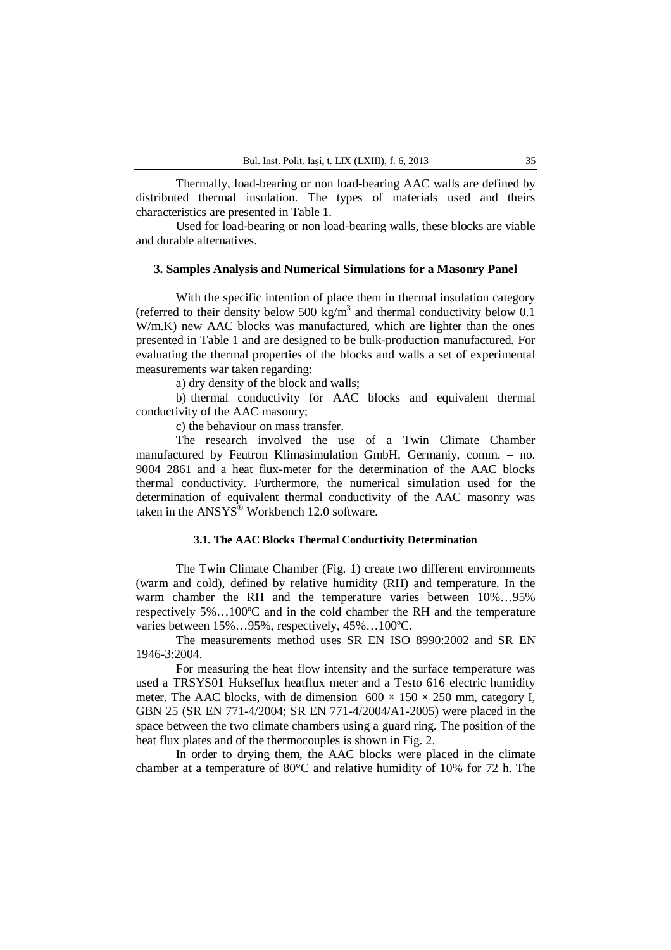Thermally, load-bearing or non load-bearing AAC walls are defined by distributed thermal insulation. The types of materials used and theirs characteristics are presented in Table 1.

Used for load-bearing or non load-bearing walls, these blocks are viable and durable alternatives.

### **3. Samples Analysis and Numerical Simulations for a Masonry Panel**

With the specific intention of place them in thermal insulation category (referred to their density below 500 kg/m<sup>3</sup> and thermal conductivity below 0.1 W/m.K) new AAC blocks was manufactured, which are lighter than the ones presented in Table 1 and are designed to be bulk-production manufactured. For evaluating the thermal properties of the blocks and walls a set of experimental measurements war taken regarding:

a) dry density of the block and walls;

b) thermal conductivity for AAC blocks and equivalent thermal conductivity of the AAC masonry;

c) the behaviour on mass transfer.

The research involved the use of a Twin Climate Chamber manufactured by Feutron Klimasimulation GmbH, Germaniy, comm. – no. 9004 2861 and a heat flux-meter for the determination of the AAC blocks thermal conductivity. Furthermore, the numerical simulation used for the determination of equivalent thermal conductivity of the AAC masonry was taken in the  $ANSYS^@$  Workbench 12.0 software.

## **3.1. The AAC Blocks Thermal Conductivity Determination**

The Twin Climate Chamber (Fig. 1) create two different environments (warm and cold), defined by relative humidity (RH) and temperature. In the warm chamber the RH and the temperature varies between 10%…95% respectively 5%…100ºC and in the cold chamber the RH and the temperature varies between 15%…95%, respectively, 45%…100ºC.

The measurements method uses SR EN ISO 8990:2002 and SR EN 1946-3:2004.

For measuring the heat flow intensity and the surface temperature was used a TRSYS01 Hukseflux heatflux meter and a Testo 616 electric humidity meter. The AAC blocks, with de dimension  $600 \times 150 \times 250$  mm, category I, GBN 25 (SR EN 771-4/2004; SR EN 771-4/2004/A1-2005) were placed in the space between the two climate chambers using a guard ring. The position of the heat flux plates and of the thermocouples is shown in Fig. 2.

In order to drying them, the AAC blocks were placed in the climate chamber at a temperature of 80°C and relative humidity of 10% for 72 h. The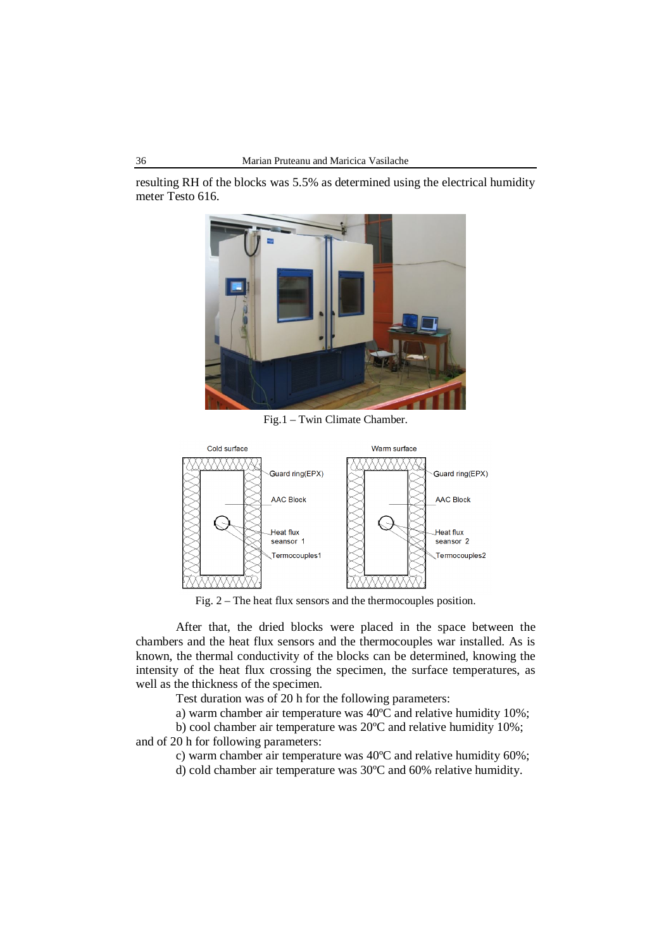resulting RH of the blocks was 5.5% as determined using the electrical humidity meter Testo 616.



Fig.1 – Twin Climate Chamber.



Fig. 2 – The heat flux sensors and the thermocouples position.

After that, the dried blocks were placed in the space between the chambers and the heat flux sensors and the thermocouples war installed. As is known, the thermal conductivity of the blocks can be determined, knowing the intensity of the heat flux crossing the specimen, the surface temperatures, as well as the thickness of the specimen.

Test duration was of 20 h for the following parameters:

a) warm chamber air temperature was 40ºC and relative humidity 10%;

b) cool chamber air temperature was 20ºC and relative humidity 10%;

and of 20 h for following parameters:

c) warm chamber air temperature was 40ºC and relative humidity 60%;

d) cold chamber air temperature was 30ºC and 60% relative humidity.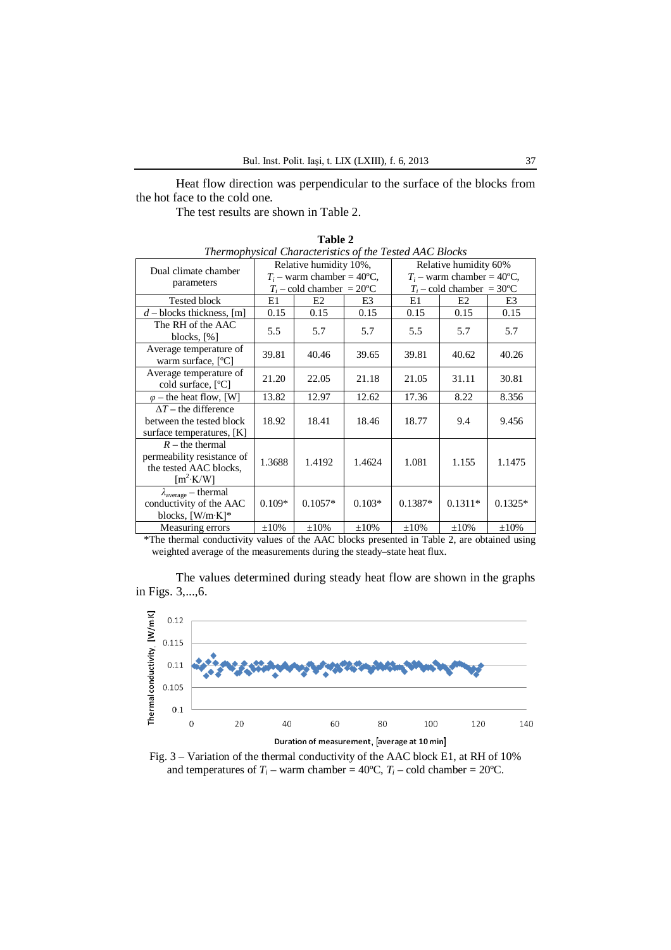Heat flow direction was perpendicular to the surface of the blocks from the hot face to the cold one.

The test results are shown in Table 2.

| Thermophysical Characteristics of the Tested AAC Blocks                                                                 |                              |                             |            |                              |            |                             |  |
|-------------------------------------------------------------------------------------------------------------------------|------------------------------|-----------------------------|------------|------------------------------|------------|-----------------------------|--|
| Dual climate chamber                                                                                                    | Relative humidity 10%,       |                             |            | Relative humidity 60%        |            |                             |  |
| parameters                                                                                                              | $T_i$ – warm chamber = 40°C, |                             |            | $T_i$ – warm chamber = 40°C, |            |                             |  |
|                                                                                                                         |                              | $T_i$ – cold chamber = 20°C |            |                              |            | $T_i$ – cold chamber = 30°C |  |
| <b>Tested block</b>                                                                                                     | E1                           | E <sub>2</sub>              | E3         | E1                           | E2         | E3                          |  |
| $d$ – blocks thickness, [m]                                                                                             | 0.15                         | 0.15                        | 0.15       | 0.15                         | 0.15       | 0.15                        |  |
| The RH of the AAC<br>blocks, $[\%]$                                                                                     | 5.5                          | 5.7                         | 5.7        | 5.5                          | 5.7        | 5.7                         |  |
| Average temperature of<br>warm surface, [°C]                                                                            | 39.81                        | 40.46                       | 39.65      | 39.81                        | 40.62      | 40.26                       |  |
| Average temperature of<br>cold surface, [°C]                                                                            | 21.20                        | 22.05                       | 21.18      | 21.05                        | 31.11      | 30.81                       |  |
| $\varphi$ – the heat flow, [W]                                                                                          | 13.82                        | 12.97                       | 12.62      | 17.36                        | 8.22       | 8.356                       |  |
| $\Delta T$ – the difference<br>between the tested block<br>surface temperatures, [K]                                    | 18.92                        | 18.41                       | 18.46      | 18.77                        | 9.4        | 9.456                       |  |
| $R$ – the thermal<br>permeability resistance of<br>the tested AAC blocks,<br>$\left[\text{m}^2 \cdot \text{K/W}\right]$ | 1.3688                       | 1.4192                      | 1.4624     | 1.081                        | 1.155      | 1.1475                      |  |
| $\lambda_{\rm average}$ – thermal<br>conductivity of the AAC<br>blocks, $[W/m K]^*$                                     | $0.109*$                     | $0.1057*$                   | $0.103*$   | $0.1387*$                    | $0.1311*$  | $0.1325*$                   |  |
| Measuring errors                                                                                                        | $\pm 10\%$                   | $\pm 10\%$                  | $\pm 10\%$ | $\pm 10\%$                   | $\pm 10\%$ | $\pm 10\%$                  |  |

**Table 2** *Thermophysical Characteristics of the Tested AAC Blocks*

\*The thermal conductivity values of the AAC blocks presented in Table 2, are obtained using weighted average of the measurements during the steady–state heat flux.

The values determined during steady heat flow are shown in the graphs in Figs. 3,...,6.



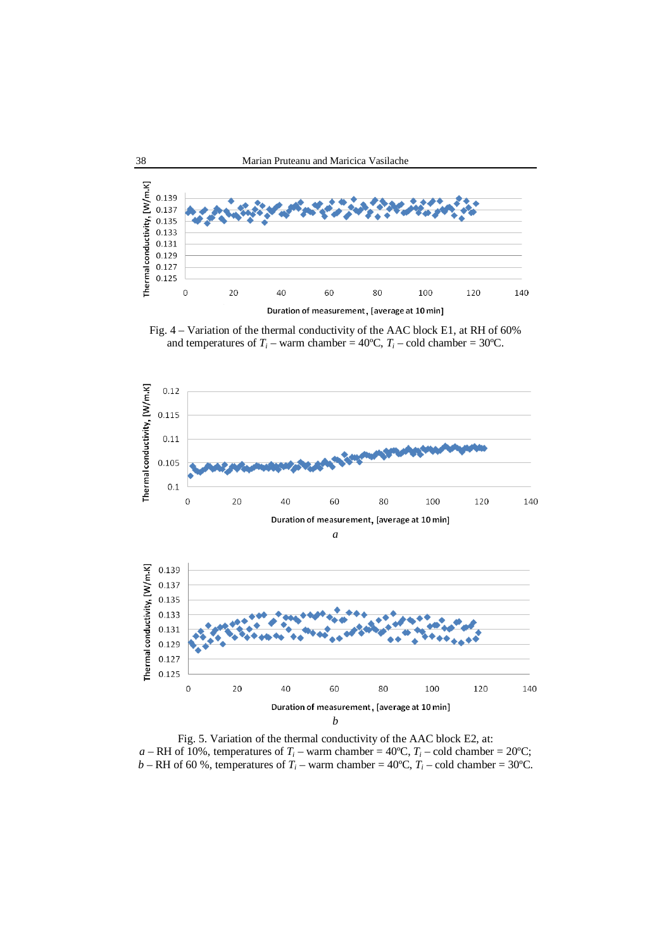

Fig. 4 – Variation of the thermal conductivity of the AAC block E1, at RH of 60% and temperatures of  $T_i$  – warm chamber = 40°C,  $T_i$  – cold chamber = 30°C.



Fig. 5. Variation of the thermal conductivity of the AAC block E2, at:  $a - RH$  of 10%, temperatures of  $T_i$  – warm chamber = 40°C,  $T_i$  – cold chamber = 20°C; *b* – RH of 60 %, temperatures of  $T_i$  – warm chamber = 40°C,  $T_i$  – cold chamber = 30°C.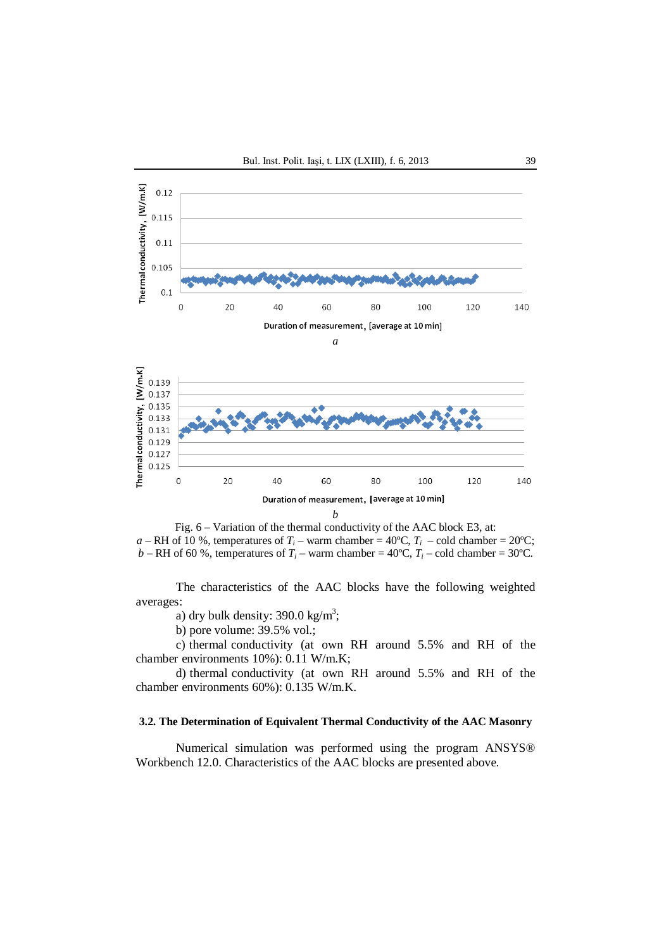

Fig. 6 – Variation of the thermal conductivity of the AAC block E3, at: *a* – RH of 10 %, temperatures of  $T_i$  – warm chamber = 40°C,  $T_i$  – cold chamber = 20°C; *b* – RH of 60 %, temperatures of  $T_i$  – warm chamber = 40°C,  $T_i$  – cold chamber = 30°C.

The characteristics of the AAC blocks have the following weighted averages:

a) dry bulk density: 390.0 kg/m<sup>3</sup>;

b) pore volume: 39.5% vol.;

c) thermal conductivity (at own RH around 5.5% and RH of the chamber environments 10%): 0.11 W/m.K;

d) thermal conductivity (at own RH around 5.5% and RH of the chamber environments 60%): 0.135 W/m.K.

## **3.2. The Determination of Equivalent Thermal Conductivity of the AAC Masonry**

Numerical simulation was performed using the program ANSYS® Workbench 12.0. Characteristics of the AAC blocks are presented above.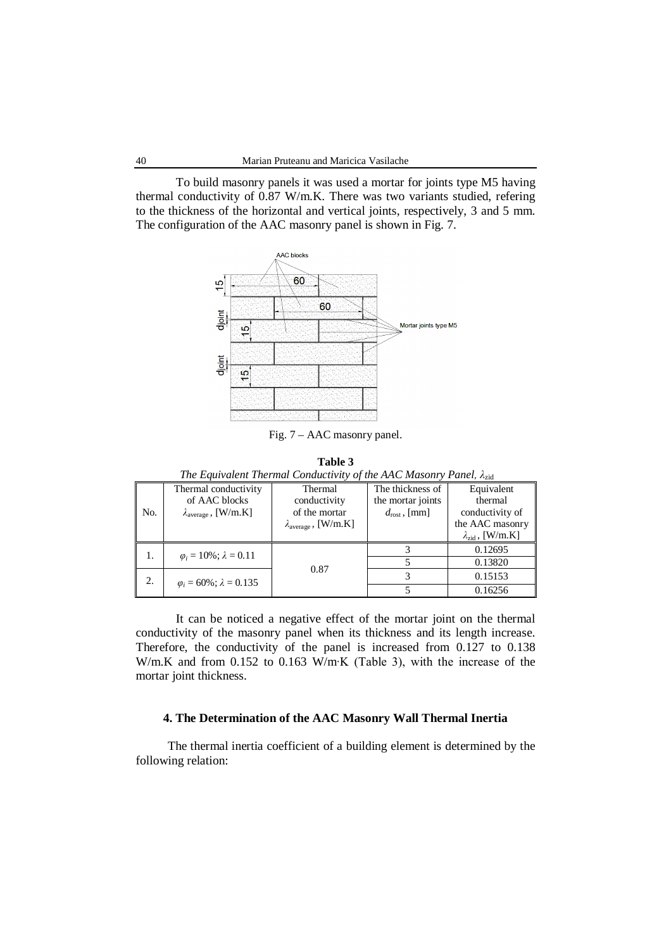To build masonry panels it was used a mortar for joints type M5 having thermal conductivity of 0.87 W/m.K. There was two variants studied, refering to the thickness of the horizontal and vertical joints, respectively, 3 and 5 mm. The configuration of the AAC masonry panel is shown in Fig. 7.



Fig. 7 – AAC masonry panel.

**Table 3**

*The Equivalent Thermal Conductivity of the AAC Masonry Panel, λ<sub>zid</sub>* 

|     | Thermal conductivity                  | Thermal                              | The thickness of         | Equivalent                |
|-----|---------------------------------------|--------------------------------------|--------------------------|---------------------------|
|     | of AAC blocks                         | conductivity                         | the mortar joints        | thermal                   |
| No. | $\lambda_{\text{average}}$ , [W/m.K]  | of the mortar                        | $d_{\text{rost}}$ , [mm] | conductivity of           |
|     |                                       | $\lambda_{\text{average}}$ , [W/m.K] |                          | the AAC masonry           |
|     |                                       |                                      |                          | $\lambda_{zid}$ , [W/m.K] |
| 1.  | $\varphi_i = 10\%$ ; $\lambda = 0.11$ |                                      |                          | 0.12695                   |
|     |                                       |                                      |                          | 0.13820                   |
| 2.  | $\varphi_i = 60\%; \lambda = 0.135$   | 0.87                                 |                          | 0.15153                   |
|     |                                       |                                      |                          | 0.16256                   |

It can be noticed a negative effect of the mortar joint on the thermal conductivity of the masonry panel when its thickness and its length increase. Therefore, the conductivity of the panel is increased from 0.127 to 0.138 W/m.K and from 0.152 to 0.163 W/m∙K (Table 3), with the increase of the mortar joint thickness.

## **4. The Determination of the AAC Masonry Wall Thermal Inertia**

The thermal inertia coefficient of a building element is determined by the following relation: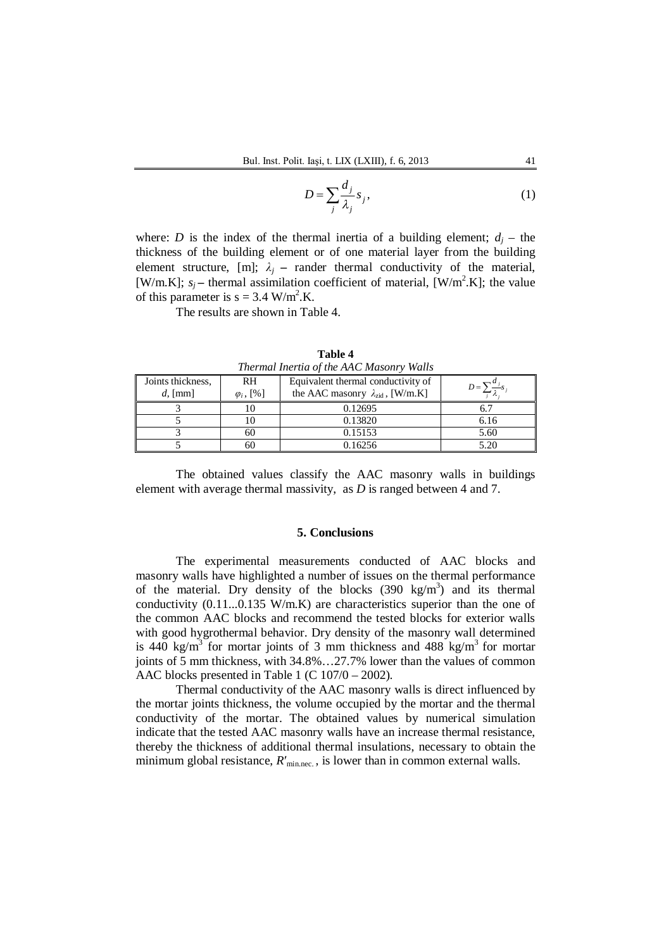$$
D = \sum_{j} \frac{d_j}{\lambda_j} s_j,
$$
 (1)

where: *D* is the index of the thermal inertia of a building element;  $d_i$  – the thickness of the building element or of one material layer from the building element structure, [m];  $\lambda_i$  – rander thermal conductivity of the material, [W/m.K];  $s_j$  – thermal assimilation coefficient of material, [W/m<sup>2</sup>.K]; the value of this parameter is  $s = 3.4$  W/m<sup>2</sup>.K.

The results are shown in Table 4.

| Thermal Inertia of the AAC Masonry walls |                                          |                                                  |            |  |  |
|------------------------------------------|------------------------------------------|--------------------------------------------------|------------|--|--|
| Joints thickness,                        | Equivalent thermal conductivity of<br>RH |                                                  | $D = \sum$ |  |  |
| $d$ , [mm]                               | $\varphi_i$ , [%]                        | the AAC masonry $\lambda_{\text{rid}}$ , [W/m.K] |            |  |  |
|                                          |                                          | 0.12695                                          |            |  |  |
|                                          |                                          | 0.13820                                          | 6.16       |  |  |
|                                          | 60                                       | 0.15153                                          | 5.60       |  |  |
|                                          | 60                                       | 0.16256                                          | 5.20       |  |  |

**Table 4** *Thermal Inertia of the AAC Masonry Walls*

The obtained values classify the AAC masonry walls in buildings element with average thermal massivity, as *D* is ranged between 4 and 7.

## **5. Conclusions**

The experimental measurements conducted of AAC blocks and masonry walls have highlighted a number of issues on the thermal performance of the material. Dry density of the blocks  $(390 \text{ kg/m}^3)$  and its thermal conductivity  $(0.11...0.135 \text{ W/m}.\text{K})$  are characteristics superior than the one of the common AAC blocks and recommend the tested blocks for exterior walls with good hygrothermal behavior. Dry density of the masonry wall determined is 440 kg/m<sup>3</sup> for mortar joints of 3 mm thickness and 488 kg/m<sup>3</sup> for mortar joints of 5 mm thickness, with 34.8%…27.7% lower than the values of common AAC blocks presented in Table 1 (C 107/0 – 2002).

Thermal conductivity of the AAC masonry walls is direct influenced by the mortar joints thickness, the volume occupied by the mortar and the thermal conductivity of the mortar. The obtained values by numerical simulation indicate that the tested AAC masonry walls have an increase thermal resistance, thereby the thickness of additional thermal insulations, necessary to obtain the minimum global resistance,  $R'_{\text{min-rec}}$ , is lower than in common external walls.